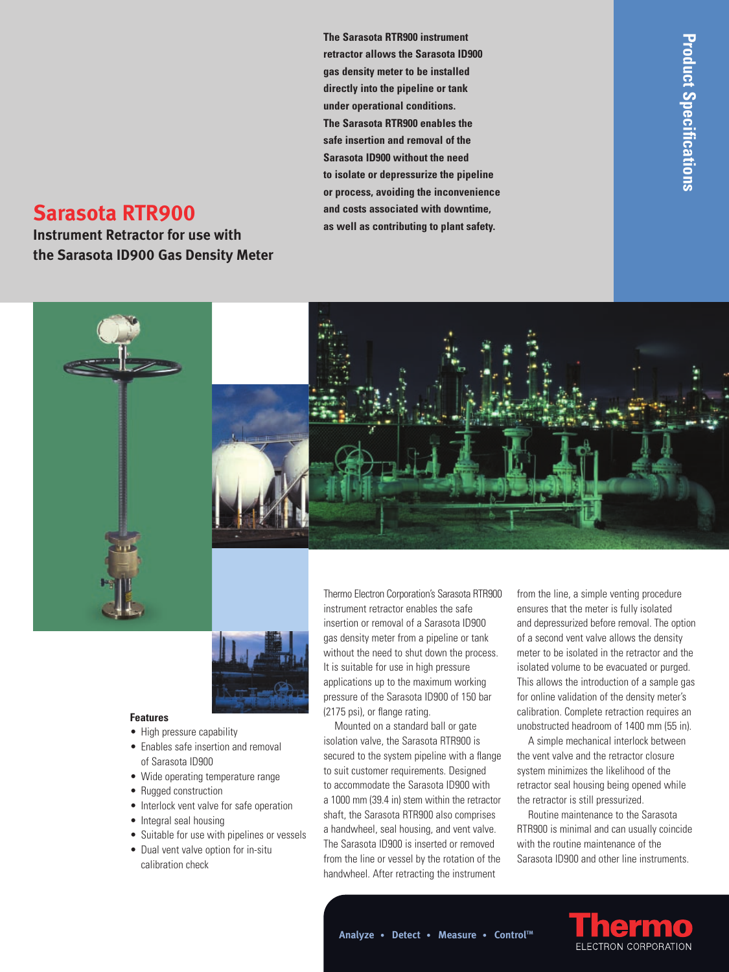**The Sarasota RTR900 instrument retractor allows the Sarasota ID900 gas density meter to be installed directly into the pipeline or tank under operational conditions. The Sarasota RTR900 enables the safe insertion and removal of the Sarasota ID900 without the need to isolate or depressurize the pipeline or process, avoiding the inconvenience and costs associated with downtime, as well as contributing to plant safety.**

# **Sarasota RTR900**

**Instrument Retractor for use with the Sarasota ID900 Gas Density Meter**





### **Features**

- High pressure capability
- Enables safe insertion and removal of Sarasota ID900
- Wide operating temperature range
- Rugged construction
- Interlock vent valve for safe operation
- Integral seal housing
- Suitable for use with pipelines or vessels
- Dual vent valve option for in-situ calibration check

Thermo Electron Corporation's Sarasota RTR900 instrument retractor enables the safe insertion or removal of a Sarasota ID900 gas density meter from a pipeline or tank without the need to shut down the process. It is suitable for use in high pressure applications up to the maximum working pressure of the Sarasota ID900 of 150 bar (2175 psi), or flange rating.

Mounted on a standard ball or gate isolation valve, the Sarasota RTR900 is secured to the system pipeline with a flange to suit customer requirements. Designed to accommodate the Sarasota ID900 with a 1000 mm (39.4 in) stem within the retractor shaft, the Sarasota RTR900 also comprises a handwheel, seal housing, and vent valve. The Sarasota ID900 is inserted or removed from the line or vessel by the rotation of the handwheel. After retracting the instrument

from the line, a simple venting procedure ensures that the meter is fully isolated and depressurized before removal. The option of a second vent valve allows the density meter to be isolated in the retractor and the isolated volume to be evacuated or purged. This allows the introduction of a sample gas for online validation of the density meter's calibration. Complete retraction requires an unobstructed headroom of 1400 mm (55 in).

A simple mechanical interlock between the vent valve and the retractor closure system minimizes the likelihood of the retractor seal housing being opened while the retractor is still pressurized.

Routine maintenance to the Sarasota RTR900 is minimal and can usually coincide with the routine maintenance of the Sarasota ID900 and other line instruments.